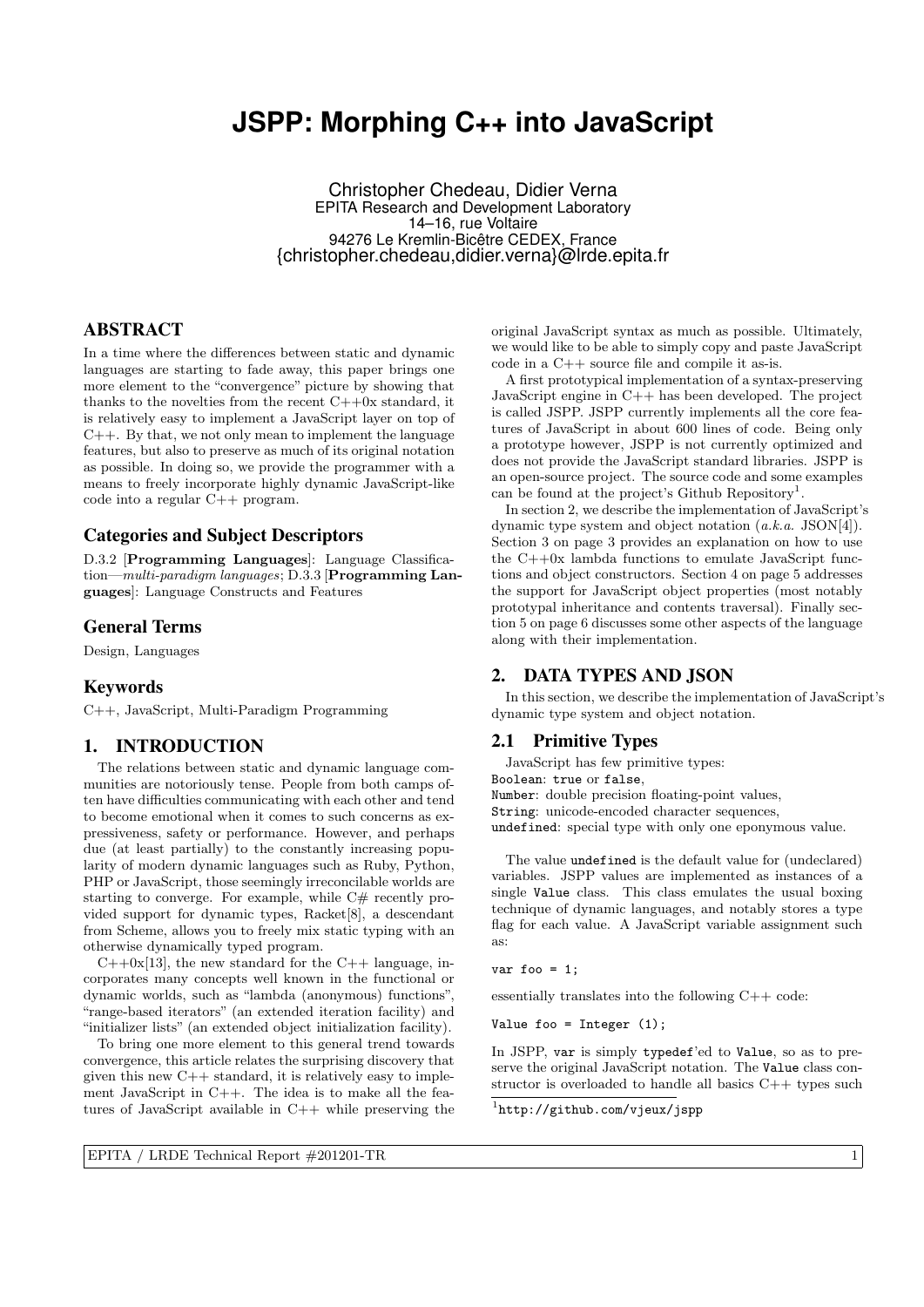# **JSPP: Morphing C++ into JavaScript**

Christopher Chedeau, Didier Verna EPITA Research and Development Laboratory 14–16, rue Voltaire 94276 Le Kremlin-Bicêtre CEDEX, France {christopher.chedeau,didier.verna}@lrde.epita.fr

# ABSTRACT

In a time where the differences between static and dynamic languages are starting to fade away, this paper brings one more element to the "convergence" picture by showing that thanks to the novelties from the recent  $C++0x$  standard, it is relatively easy to implement a JavaScript layer on top of  $C_{++}$ . By that, we not only mean to implement the language features, but also to preserve as much of its original notation as possible. In doing so, we provide the programmer with a means to freely incorporate highly dynamic JavaScript-like code into a regular C++ program.

# Categories and Subject Descriptors

D.3.2 [Programming Languages]: Language Classification—multi-paradigm languages; D.3.3 [Programming Languages]: Language Constructs and Features

# General Terms

Design, Languages

### Keywords

C++, JavaScript, Multi-Paradigm Programming

# 1. INTRODUCTION

The relations between static and dynamic language communities are notoriously tense. People from both camps often have difficulties communicating with each other and tend to become emotional when it comes to such concerns as expressiveness, safety or performance. However, and perhaps due (at least partially) to the constantly increasing popularity of modern dynamic languages such as Ruby, Python, PHP or JavaScript, those seemingly irreconcilable worlds are starting to converge. For example, while C# recently provided support for dynamic types, Racket[8], a descendant from Scheme, allows you to freely mix static typing with an otherwise dynamically typed program.

 $C++0x[13]$ , the new standard for the  $C++$  language, incorporates many concepts well known in the functional or dynamic worlds, such as "lambda (anonymous) functions", "range-based iterators" (an extended iteration facility) and "initializer lists" (an extended object initialization facility).

To bring one more element to this general trend towards convergence, this article relates the surprising discovery that given this new  $C++$  standard, it is relatively easy to implement JavaScript in C++. The idea is to make all the features of JavaScript available in C++ while preserving the

original JavaScript syntax as much as possible. Ultimately, we would like to be able to simply copy and paste JavaScript code in a C++ source file and compile it as-is.

A first prototypical implementation of a syntax-preserving JavaScript engine in C++ has been developed. The project is called JSPP. JSPP currently implements all the core features of JavaScript in about 600 lines of code. Being only a prototype however, JSPP is not currently optimized and does not provide the JavaScript standard libraries. JSPP is an open-source project. The source code and some examples can be found at the project's Github Repository<sup>1</sup>.

In section 2, we describe the implementation of JavaScript's dynamic type system and object notation (a.k.a. JSON[4]). Section 3 on page 3 provides an explanation on how to use the  $C++0x$  lambda functions to emulate JavaScript functions and object constructors. Section 4 on page 5 addresses the support for JavaScript object properties (most notably prototypal inheritance and contents traversal). Finally section 5 on page 6 discusses some other aspects of the language along with their implementation.

# 2. DATA TYPES AND JSON

In this section, we describe the implementation of JavaScript's dynamic type system and object notation.

# 2.1 Primitive Types

JavaScript has few primitive types: Boolean: true or false, Number: double precision floating-point values, String: unicode-encoded character sequences, undefined: special type with only one eponymous value.

The value undefined is the default value for (undeclared) variables. JSPP values are implemented as instances of a single Value class. This class emulates the usual boxing technique of dynamic languages, and notably stores a type flag for each value. A JavaScript variable assignment such as:

var foo =  $1$ :

essentially translates into the following C++ code:

Value foo = Integer (1);

In JSPP, var is simply typedef'ed to Value, so as to preserve the original JavaScript notation. The Value class constructor is overloaded to handle all basics C++ types such

1 http://github.com/vjeux/jspp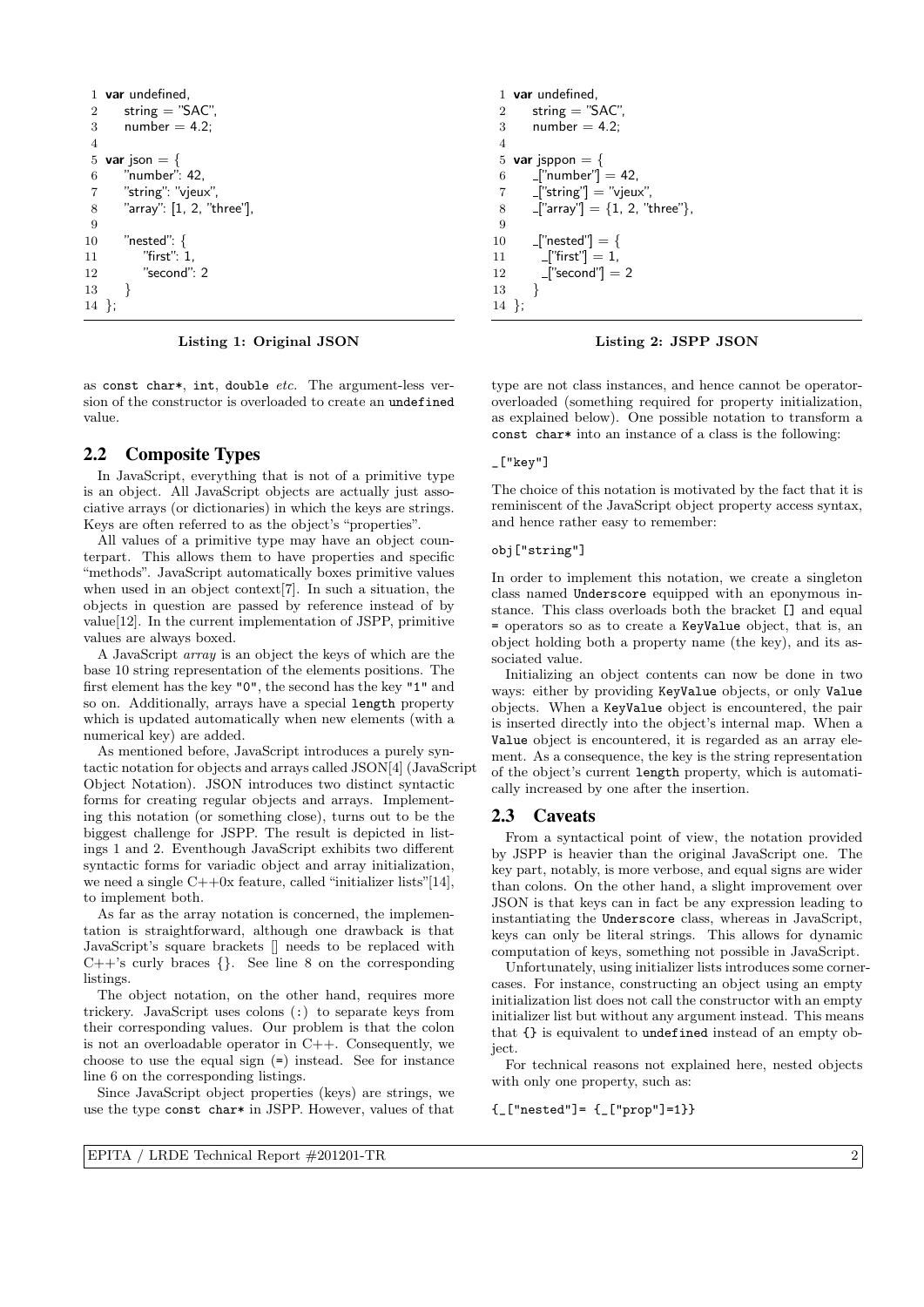```
1 var undefined,
 2 string = "SAC",
 3 number = 4.2;
 4
 5 var json = {
 6 "number": 42,
 7 "string": "vjeux",
 8 "array": [1, 2, "three"],
 9
10 "nested": {
11 "first": 1,
12 "second": 2
13 }
14 };
```
Listing 1: Original JSON

as const char\*, int, double etc. The argument-less version of the constructor is overloaded to create an undefined value.

# 2.2 Composite Types

In JavaScript, everything that is not of a primitive type is an object. All JavaScript objects are actually just associative arrays (or dictionaries) in which the keys are strings. Keys are often referred to as the object's "properties".

All values of a primitive type may have an object counterpart. This allows them to have properties and specific "methods". JavaScript automatically boxes primitive values when used in an object context[7]. In such a situation, the objects in question are passed by reference instead of by value[12]. In the current implementation of JSPP, primitive values are always boxed.

A JavaScript array is an object the keys of which are the base 10 string representation of the elements positions. The first element has the key "0", the second has the key "1" and so on. Additionally, arrays have a special length property which is updated automatically when new elements (with a numerical key) are added.

As mentioned before, JavaScript introduces a purely syntactic notation for objects and arrays called JSON[4] (JavaScript Object Notation). JSON introduces two distinct syntactic forms for creating regular objects and arrays. Implementing this notation (or something close), turns out to be the biggest challenge for JSPP. The result is depicted in listings 1 and 2. Eventhough JavaScript exhibits two different syntactic forms for variadic object and array initialization, we need a single  $C++0x$  feature, called "initializer lists"[14], to implement both.

As far as the array notation is concerned, the implementation is straightforward, although one drawback is that JavaScript's square brackets  $\parallel$  needs to be replaced with  $C++$ 's curly braces  $\{\}$ . See line 8 on the corresponding listings.

The object notation, on the other hand, requires more trickery. JavaScript uses colons (:) to separate keys from their corresponding values. Our problem is that the colon is not an overloadable operator in  $C++$ . Consequently, we choose to use the equal sign (=) instead. See for instance line 6 on the corresponding listings.

Since JavaScript object properties (keys) are strings, we use the type const char\* in JSPP. However, values of that

```
1 var undefined,
2 string = "SAC".
3 number = 4.2;
 4
5 var jsppon = {
6 ["number"] = 42,
7 ["string"] = "vjeux",
8 ["array"] = \{1, 2, "three"\},\9
10 -["nested"] = \{11 ["first"] = 1,12 \lfloor"second"\rfloor = 2
13 \frac{1}{2}14 };
```
Listing 2: JSPP JSON

type are not class instances, and hence cannot be operatoroverloaded (something required for property initialization, as explained below). One possible notation to transform a const char\* into an instance of a class is the following:

# $[\n"key"]$

The choice of this notation is motivated by the fact that it is reminiscent of the JavaScript object property access syntax, and hence rather easy to remember:

### obj["string"]

In order to implement this notation, we create a singleton class named Underscore equipped with an eponymous instance. This class overloads both the bracket [] and equal = operators so as to create a KeyValue object, that is, an object holding both a property name (the key), and its associated value.

Initializing an object contents can now be done in two ways: either by providing KeyValue objects, or only Value objects. When a KeyValue object is encountered, the pair is inserted directly into the object's internal map. When a Value object is encountered, it is regarded as an array element. As a consequence, the key is the string representation of the object's current length property, which is automatically increased by one after the insertion.

# 2.3 Caveats

From a syntactical point of view, the notation provided by JSPP is heavier than the original JavaScript one. The key part, notably, is more verbose, and equal signs are wider than colons. On the other hand, a slight improvement over JSON is that keys can in fact be any expression leading to instantiating the Underscore class, whereas in JavaScript, keys can only be literal strings. This allows for dynamic computation of keys, something not possible in JavaScript.

Unfortunately, using initializer lists introduces some cornercases. For instance, constructing an object using an empty initialization list does not call the constructor with an empty initializer list but without any argument instead. This means that {} is equivalent to undefined instead of an empty object.

For technical reasons not explained here, nested objects with only one property, such as:

{\_["nested"]= {\_["prop"]=1}}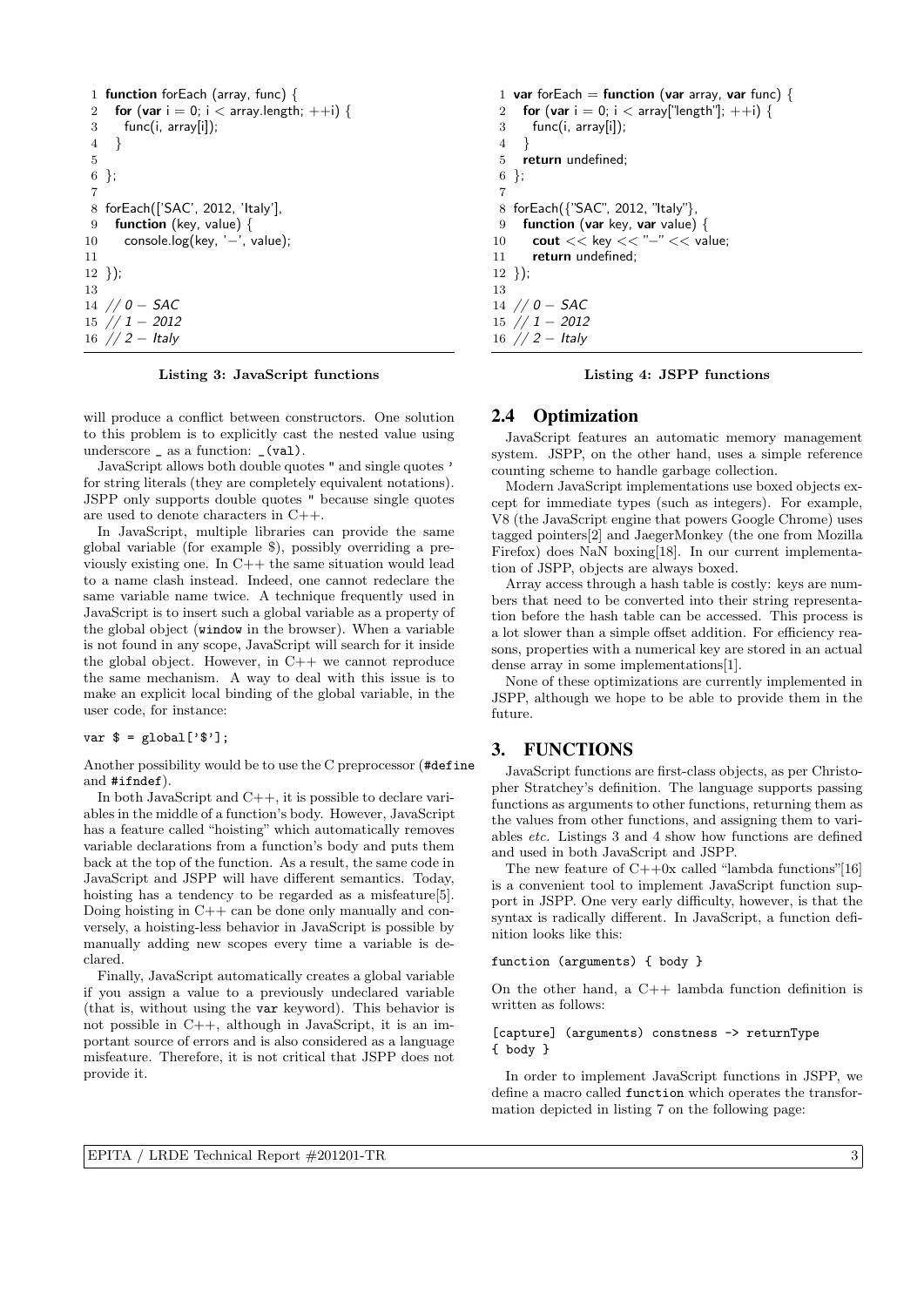```
1 function forEach (array, func) {
2 for (var i = 0; i < array.length; ++i) {
3 func(i, array[i]);
 4 }
5
6 };
7
8 forEach(['SAC', 2012, 'Italy'],
9 function (key, value) {
10 console.log(key, '-', value);
11
12 \};
13
14 // 0 - SAC15 // 1 − 2012
16 // 2 - Italy
```
#### Listing 3: JavaScript functions

will produce a conflict between constructors. One solution to this problem is to explicitly cast the nested value using underscore \_ as a function: \_(val).

JavaScript allows both double quotes " and single quotes ' for string literals (they are completely equivalent notations). JSPP only supports double quotes " because single quotes are used to denote characters in C++.

In JavaScript, multiple libraries can provide the same global variable (for example \$), possibly overriding a previously existing one. In  $C++$  the same situation would lead to a name clash instead. Indeed, one cannot redeclare the same variable name twice. A technique frequently used in JavaScript is to insert such a global variable as a property of the global object (window in the browser). When a variable is not found in any scope, JavaScript will search for it inside the global object. However, in  $C++$  we cannot reproduce the same mechanism. A way to deal with this issue is to make an explicit local binding of the global variable, in the user code, for instance:

#### var  $\$ = global['$  $')$ ;

Another possibility would be to use the C preprocessor (#define and #ifndef).

In both JavaScript and C++, it is possible to declare variables in the middle of a function's body. However, JavaScript has a feature called "hoisting" which automatically removes variable declarations from a function's body and puts them back at the top of the function. As a result, the same code in JavaScript and JSPP will have different semantics. Today, hoisting has a tendency to be regarded as a misfeature [5]. Doing hoisting in  $C++$  can be done only manually and conversely, a hoisting-less behavior in JavaScript is possible by manually adding new scopes every time a variable is declared.

Finally, JavaScript automatically creates a global variable if you assign a value to a previously undeclared variable (that is, without using the var keyword). This behavior is not possible in C++, although in JavaScript, it is an important source of errors and is also considered as a language misfeature. Therefore, it is not critical that JSPP does not provide it.

```
1 var forEach = function (var array, var func) {
2 for (var i = 0; i < array["length"]; ++i) {
3 func(i, array[i]);
4 }
5 return undefined;
6 };
7
8 forEach({"SAC", 2012, "Italy"},
9 function (var key, var value) {
10 cout << key << "-" << value;
11 return undefined;
12 });
13
14 // 0 - SAC15 // 1 – 2012
```

```
16 \frac{7}{2} – Italy
```
Listing 4: JSPP functions

#### 2.4 Optimization

JavaScript features an automatic memory management system. JSPP, on the other hand, uses a simple reference counting scheme to handle garbage collection.

Modern JavaScript implementations use boxed objects except for immediate types (such as integers). For example, V8 (the JavaScript engine that powers Google Chrome) uses tagged pointers[2] and JaegerMonkey (the one from Mozilla Firefox) does NaN boxing[18]. In our current implementation of JSPP, objects are always boxed.

Array access through a hash table is costly: keys are numbers that need to be converted into their string representation before the hash table can be accessed. This process is a lot slower than a simple offset addition. For efficiency reasons, properties with a numerical key are stored in an actual dense array in some implementations[1].

None of these optimizations are currently implemented in JSPP, although we hope to be able to provide them in the future.

# 3. FUNCTIONS

JavaScript functions are first-class objects, as per Christopher Stratchey's definition. The language supports passing functions as arguments to other functions, returning them as the values from other functions, and assigning them to variables etc. Listings 3 and 4 show how functions are defined and used in both JavaScript and JSPP.

The new feature of  $C++0x$  called "lambda functions"[16] is a convenient tool to implement JavaScript function support in JSPP. One very early difficulty, however, is that the syntax is radically different. In JavaScript, a function definition looks like this:

function (arguments) { body }

On the other hand, a  $C++$  lambda function definition is written as follows:

#### [capture] (arguments) constness -> returnType { body }

In order to implement JavaScript functions in JSPP, we define a macro called function which operates the transformation depicted in listing 7 on the following page: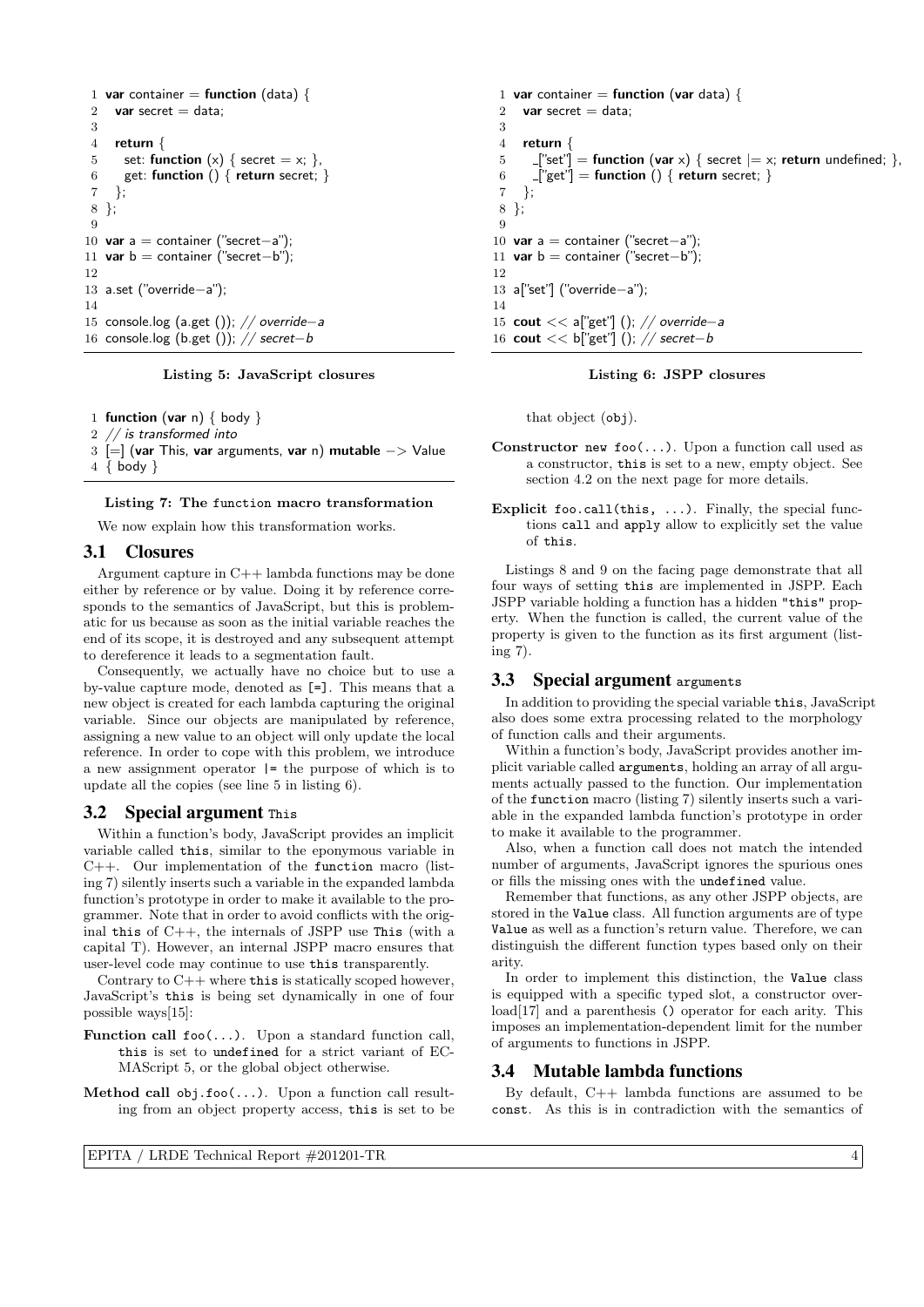```
1 var container = function (data) {
2 var secret = data;
3
 4 return {
5 set: function (x) \{ secret = x; \},
6 get: function () { return secret; }
7 };
8 };
9
10 var a = container ("secret−a");
11 var b = container ("secret-b");
12
13 a.set ("override−a");
14
15 console.log (a.get ()); // override−a
16 console.log (b.get ()); // secret−b
```
#### Listing 5: JavaScript closures

1 function (var n)  $\{$  body  $\}$ 

```
2 // is transformed into
```
3 [=] (var This, var arguments, var n) mutable −> Value 4 { body }

#### Listing 7: The function macro transformation

We now explain how this transformation works.

### 3.1 Closures

Argument capture in C++ lambda functions may be done either by reference or by value. Doing it by reference corresponds to the semantics of JavaScript, but this is problematic for us because as soon as the initial variable reaches the end of its scope, it is destroyed and any subsequent attempt to dereference it leads to a segmentation fault.

Consequently, we actually have no choice but to use a by-value capture mode, denoted as [=]. This means that a new object is created for each lambda capturing the original variable. Since our objects are manipulated by reference, assigning a new value to an object will only update the local reference. In order to cope with this problem, we introduce a new assignment operator |= the purpose of which is to update all the copies (see line 5 in listing 6).

#### 3.2 Special argument This

Within a function's body, JavaScript provides an implicit variable called this, similar to the eponymous variable in  $C++$ . Our implementation of the function macro (listing 7) silently inserts such a variable in the expanded lambda function's prototype in order to make it available to the programmer. Note that in order to avoid conflicts with the original this of  $C++$ , the internals of JSPP use This (with a capital T). However, an internal JSPP macro ensures that user-level code may continue to use this transparently.

Contrary to  $C++$  where this is statically scoped however, JavaScript's this is being set dynamically in one of four possible ways[15]:

- **Function call foo(...).** Upon a standard function call, this is set to undefined for a strict variant of EC-MAScript 5, or the global object otherwise.
- Method call obj.foo(...). Upon a function call resulting from an object property access, this is set to be

```
1 var container = function (var data) {
2 var secret = data;
3
4 return {
5 ["set"] = function (var x) { secret |= x; return undefined; },
6 -["get"] = function () { return secret; }
7 };
8 };
9
10 var a = container ("secret-a");
11 var b = container ("secret-b");
12
13 a["set"] ("override−a");
14
15 cout << a["get"] (); // override−a
16 cout << b["get"] (); // secret-b
```
#### Listing 6: JSPP closures

that object (obj).

- Constructor new foo(...). Upon a function call used as a constructor, this is set to a new, empty object. See section 4.2 on the next page for more details.
- Explicit foo.call(this, ...). Finally, the special functions call and apply allow to explicitly set the value of this.

Listings 8 and 9 on the facing page demonstrate that all four ways of setting this are implemented in JSPP. Each JSPP variable holding a function has a hidden "this" property. When the function is called, the current value of the property is given to the function as its first argument (listing 7).

#### 3.3 Special argument arguments

In addition to providing the special variable this, JavaScript also does some extra processing related to the morphology of function calls and their arguments.

Within a function's body, JavaScript provides another implicit variable called arguments, holding an array of all arguments actually passed to the function. Our implementation of the function macro (listing 7) silently inserts such a variable in the expanded lambda function's prototype in order to make it available to the programmer.

Also, when a function call does not match the intended number of arguments, JavaScript ignores the spurious ones or fills the missing ones with the undefined value.

Remember that functions, as any other JSPP objects, are stored in the Value class. All function arguments are of type Value as well as a function's return value. Therefore, we can distinguish the different function types based only on their arity.

In order to implement this distinction, the Value class is equipped with a specific typed slot, a constructor overload<sup>[17]</sup> and a parenthesis () operator for each arity. This imposes an implementation-dependent limit for the number of arguments to functions in JSPP.

### 3.4 Mutable lambda functions

By default, C++ lambda functions are assumed to be const. As this is in contradiction with the semantics of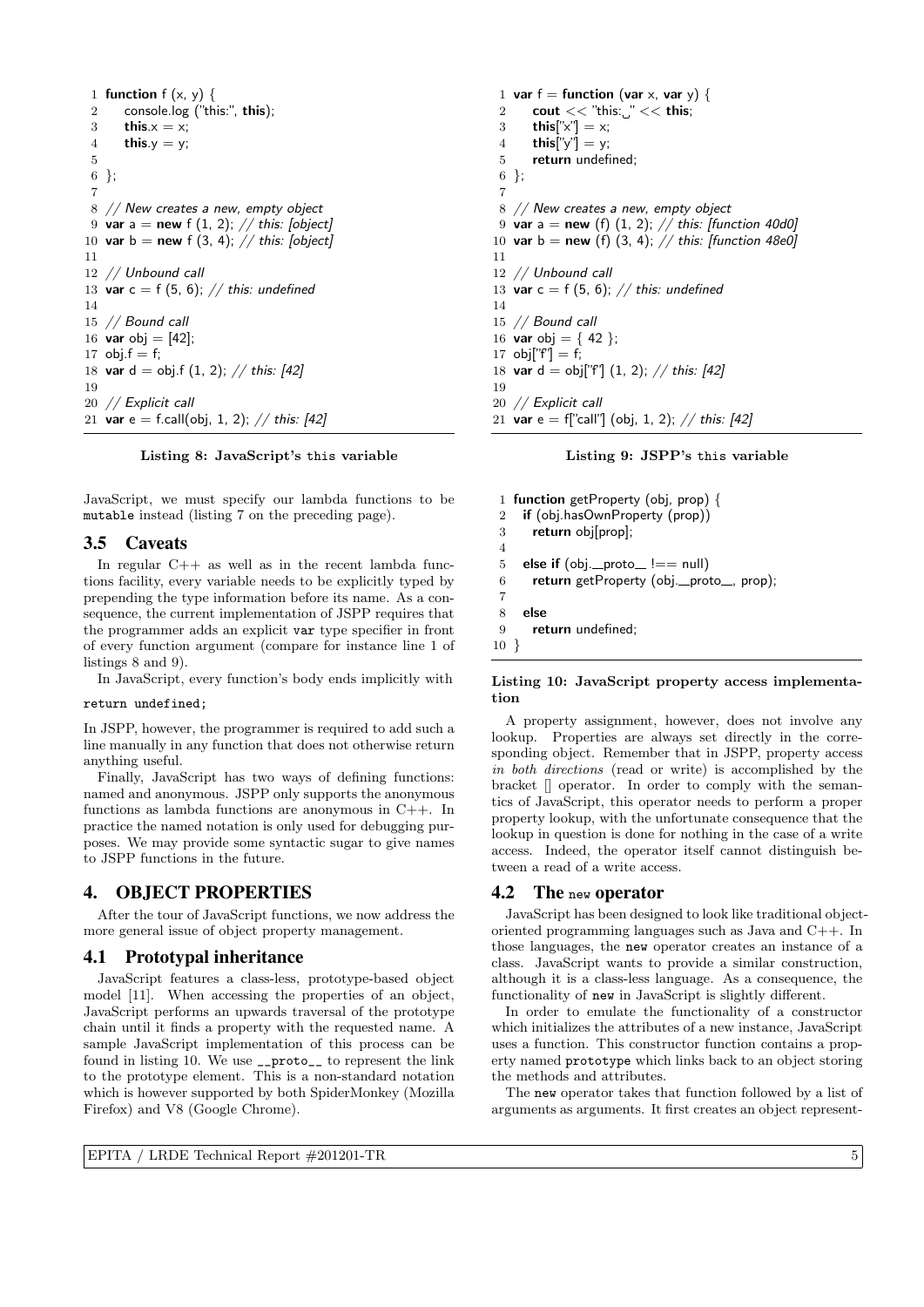```
1 function f(x, y) {
 2 console.log ("this:", this);
 3 this.x = x;
 4 this.y = y;
 5
 6 };
 7
 8 // New creates a new, empty object
 9 var a = new f (1, 2); // this: [object]
10 var b = new f (3, 4); // this: [object]11
12 // Unbound call
13 var c = f(5, 6); // this: undefined
14
15 // Bound call
16 var obj = [42];
17 obj.f = f;
18 var d = obj.f (1, 2); // this: [42]
19
20 // Explicit call
21 var e = f.call(obj, 1, 2); // this: [42]
```
#### Listing 8: JavaScript's this variable

JavaScript, we must specify our lambda functions to be mutable instead (listing 7 on the preceding page).

# 3.5 Caveats

In regular  $C++$  as well as in the recent lambda functions facility, every variable needs to be explicitly typed by prepending the type information before its name. As a consequence, the current implementation of JSPP requires that the programmer adds an explicit var type specifier in front of every function argument (compare for instance line 1 of listings 8 and 9).

In JavaScript, every function's body ends implicitly with

### return undefined;

In JSPP, however, the programmer is required to add such a line manually in any function that does not otherwise return anything useful.

Finally, JavaScript has two ways of defining functions: named and anonymous. JSPP only supports the anonymous functions as lambda functions are anonymous in C++. In practice the named notation is only used for debugging purposes. We may provide some syntactic sugar to give names to JSPP functions in the future.

# 4. OBJECT PROPERTIES

After the tour of JavaScript functions, we now address the more general issue of object property management.

# 4.1 Prototypal inheritance

JavaScript features a class-less, prototype-based object model [11]. When accessing the properties of an object, JavaScript performs an upwards traversal of the prototype chain until it finds a property with the requested name. A sample JavaScript implementation of this process can be found in listing 10. We use \_\_proto\_\_ to represent the link to the prototype element. This is a non-standard notation which is however supported by both SpiderMonkey (Mozilla Firefox) and V8 (Google Chrome).

1 var  $f =$  function (var x, var y) { 2 cout  $<<$  "this: " $<<$  this; 3 this[" $x$ "] = x; 4 **this**[" $y$ "] = y; 5 return undefined; 6 }; 7 8 // New creates a new, empty object 9 var a = new (f)  $(1, 2)$ ; // this: [function 40d0] 10 var b = new (f)  $(3, 4)$ ;  $// this: [function 48e0]$ 11 12 // Unbound call 13 var  $c = f(5, 6)$ ; // this: undefined 14 15 // Bound call 16 **var** obj = {42 }; 17  $obj['f'] = f;$ 18 var d = obj["f"]  $(1, 2)$ ; // this: [42] 19 20 // Explicit call 21 var e = f["call"] (obj, 1, 2); // this:  $[42]$ 

#### Listing 9: JSPP's this variable

1 function getProperty (obj, prop) { 2 if (obj.hasOwnProperty (prop)) 3 return obj[prop]; 4 5 else if  $(obj\_proto_ != = null)$ 6 return getProperty (obj.\_proto\_, prop); 7  $8$  else<br> $9$  ref return undefined; 10 }

#### Listing 10: JavaScript property access implementation

A property assignment, however, does not involve any lookup. Properties are always set directly in the corresponding object. Remember that in JSPP, property access in both directions (read or write) is accomplished by the bracket [] operator. In order to comply with the semantics of JavaScript, this operator needs to perform a proper property lookup, with the unfortunate consequence that the lookup in question is done for nothing in the case of a write access. Indeed, the operator itself cannot distinguish between a read of a write access.

#### 4.2 The new operator

JavaScript has been designed to look like traditional objectoriented programming languages such as Java and C++. In those languages, the new operator creates an instance of a class. JavaScript wants to provide a similar construction, although it is a class-less language. As a consequence, the functionality of new in JavaScript is slightly different.

In order to emulate the functionality of a constructor which initializes the attributes of a new instance, JavaScript uses a function. This constructor function contains a property named prototype which links back to an object storing the methods and attributes.

The new operator takes that function followed by a list of arguments as arguments. It first creates an object represent-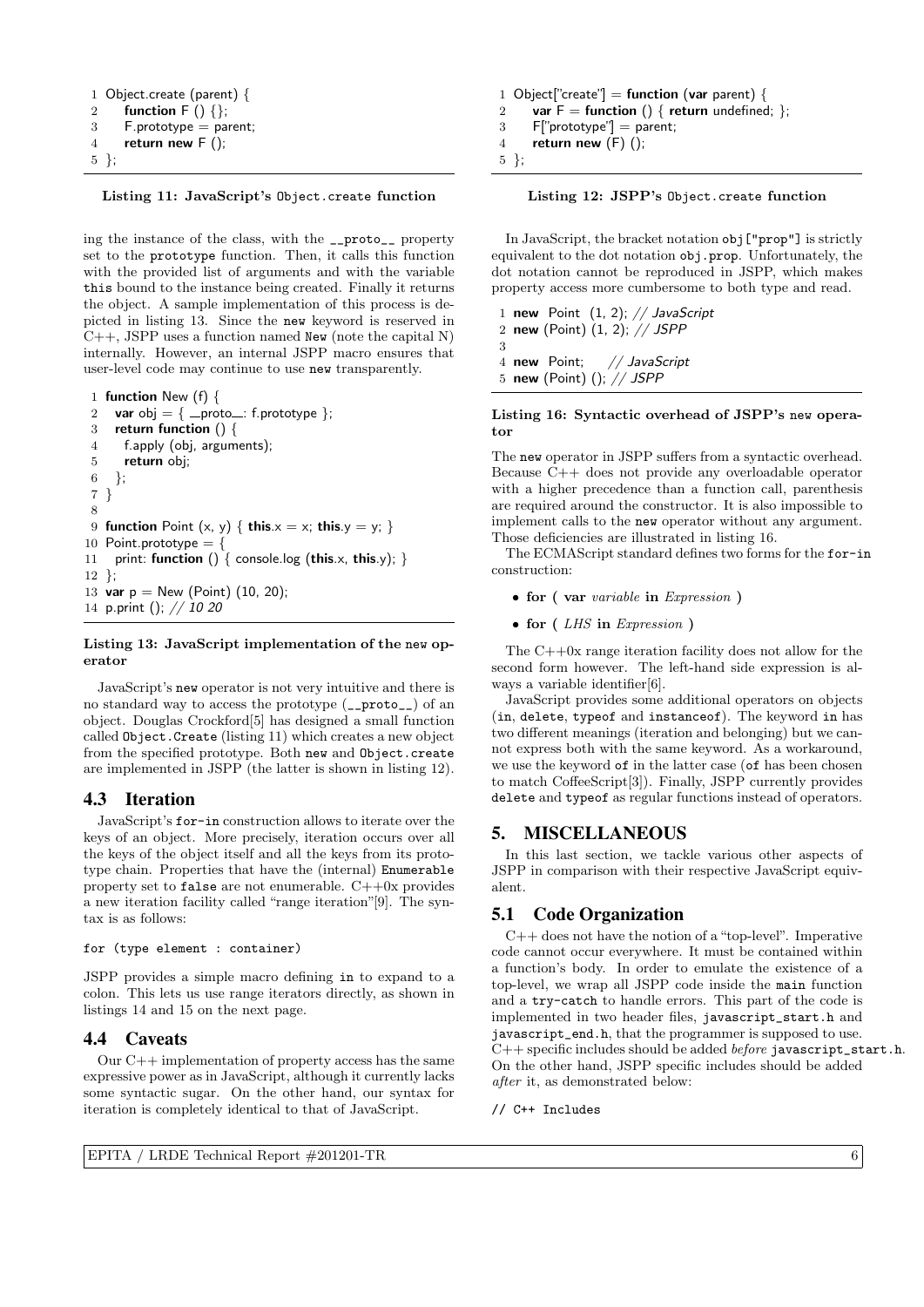```
1 Object.create (parent) {
2 function F() \{\};3 F.prototype = parent;
4 return new F(t);
5 };
```
### Listing 11: JavaScript's Object.create function

ing the instance of the class, with the \_\_proto\_\_ property set to the prototype function. Then, it calls this function with the provided list of arguments and with the variable this bound to the instance being created. Finally it returns the object. A sample implementation of this process is depicted in listing 13. Since the new keyword is reserved in  $C++$ , JSPP uses a function named New (note the capital N) internally. However, an internal JSPP macro ensures that user-level code may continue to use new transparently.

```
1 function New (f) {
2 var obj = \{ _proto_: f.prototype \};3 return function () {
4 f.apply (obj, arguments);
5 return obj;
6 };
7 }
8
9 function Point (x, y) { this.x = x; this.y = y; }
10 Point.prototype = {
11 print: function () \{ \text{ console.log (this.x, this.y)}; \}12 };
13 var p = New (Point) (10, 20);14 p.print (); // 10 20
```
#### Listing 13: JavaScript implementation of the new operator

JavaScript's new operator is not very intuitive and there is no standard way to access the prototype (\_\_proto\_\_) of an object. Douglas Crockford[5] has designed a small function called Object.Create (listing 11) which creates a new object from the specified prototype. Both new and Object.create are implemented in JSPP (the latter is shown in listing 12).

# 4.3 Iteration

JavaScript's for-in construction allows to iterate over the keys of an object. More precisely, iteration occurs over all the keys of the object itself and all the keys from its prototype chain. Properties that have the (internal) Enumerable property set to false are not enumerable.  $C++0x$  provides a new iteration facility called "range iteration"[9]. The syntax is as follows:

```
for (type element : container)
```
JSPP provides a simple macro defining in to expand to a colon. This lets us use range iterators directly, as shown in listings 14 and 15 on the next page.

### 4.4 Caveats

Our C++ implementation of property access has the same expressive power as in JavaScript, although it currently lacks some syntactic sugar. On the other hand, our syntax for iteration is completely identical to that of JavaScript.

```
1 Object["create"] = function (var parent) {
2 var F = function () { return undefined; };
3 F["prototype"] = parent;
4 return new (F) ();
5 };
```
Listing 12: JSPP's Object.create function

In JavaScript, the bracket notation obj["prop"] is strictly equivalent to the dot notation obj.prop. Unfortunately, the dot notation cannot be reproduced in JSPP, which makes property access more cumbersome to both type and read.

1 new Point  $(1, 2)$ ; // JavaScript 2 new (Point) (1, 2); // JSPP 3 4 new Point; // JavaScript 5 new (Point) (); // JSPP

Listing 16: Syntactic overhead of JSPP's new operator

The new operator in JSPP suffers from a syntactic overhead. Because C++ does not provide any overloadable operator with a higher precedence than a function call, parenthesis are required around the constructor. It is also impossible to implement calls to the new operator without any argument. Those deficiencies are illustrated in listing 16.

The ECMAScript standard defines two forms for the for-in construction:

- for (var variable in Expression)
- for ( $LHS$  in Expression)

The C++0x range iteration facility does not allow for the second form however. The left-hand side expression is always a variable identifier[6].

JavaScript provides some additional operators on objects (in, delete, typeof and instanceof). The keyword in has two different meanings (iteration and belonging) but we cannot express both with the same keyword. As a workaround, we use the keyword of in the latter case (of has been chosen to match CoffeeScript[3]). Finally, JSPP currently provides delete and typeof as regular functions instead of operators.

# 5. MISCELLANEOUS

In this last section, we tackle various other aspects of JSPP in comparison with their respective JavaScript equivalent.

# 5.1 Code Organization

 $C++$  does not have the notion of a "top-level". Imperative code cannot occur everywhere. It must be contained within a function's body. In order to emulate the existence of a top-level, we wrap all JSPP code inside the main function and a try-catch to handle errors. This part of the code is implemented in two header files, javascript\_start.h and javascript\_end.h, that the programmer is supposed to use.  $C++$  specific includes should be added *before* javascript\_start.h. On the other hand, JSPP specific includes should be added after it, as demonstrated below:

// C++ Includes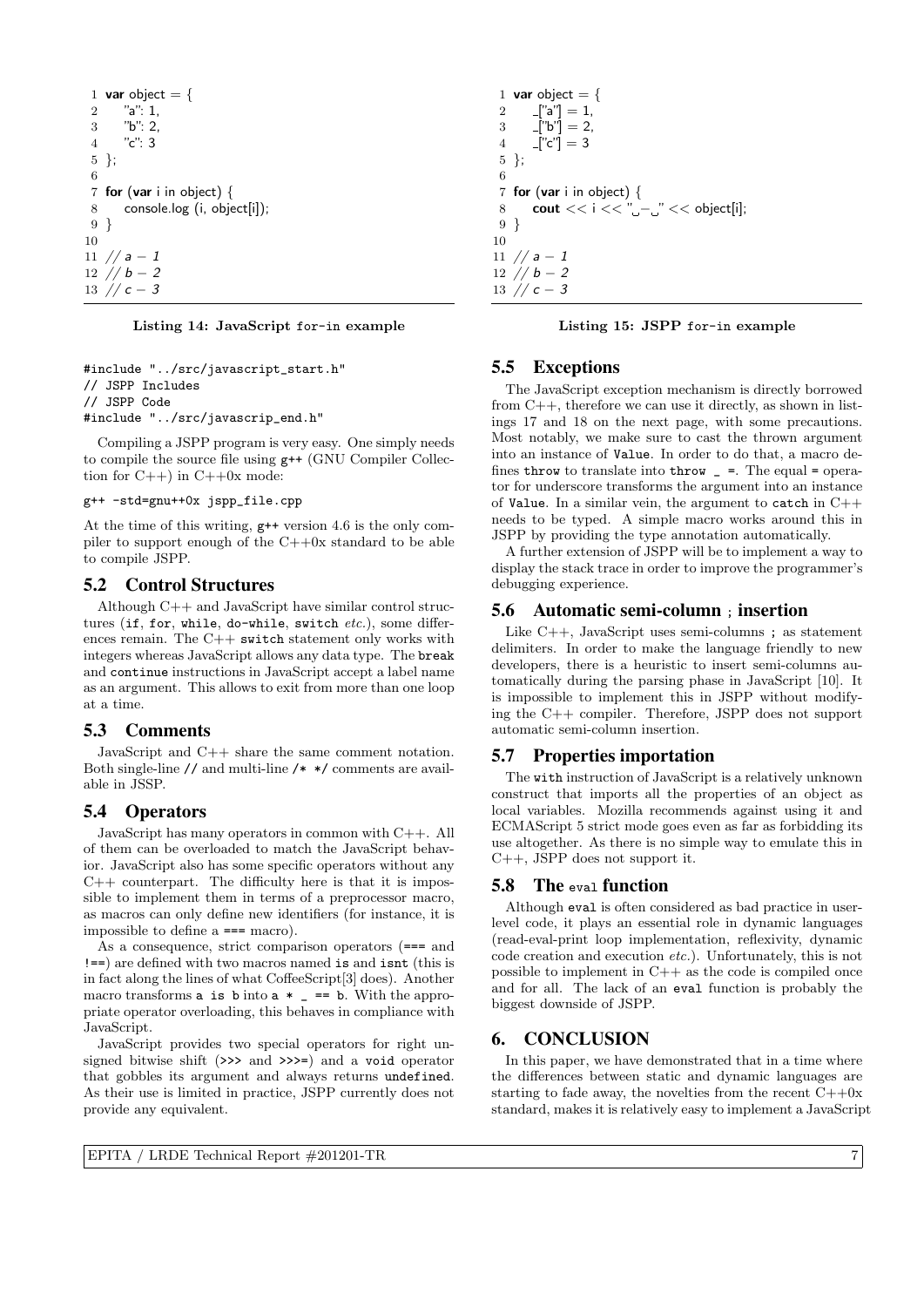1 **var** object = { 2 "a": 1, 3 "b": 2, 4 "c": 3 5 }; 6 7 for (var i in object) { 8 console.log (i, object[i]); 9 } 10 11  $// a - 1$ 12 // b − 2 13 // c − 3

Listing 14: JavaScript for-in example

```
#include "../src/javascript_start.h"
// JSPP Includes
// JSPP Code
#include "../src/javascrip_end.h"
```
Compiling a JSPP program is very easy. One simply needs to compile the source file using g++ (GNU Compiler Collection for  $C++$ ) in  $C++0x$  mode:

# g++ -std=gnu++0x jspp\_file.cpp

At the time of this writing, g++ version 4.6 is the only compiler to support enough of the C++0x standard to be able to compile JSPP.

### 5.2 Control Structures

Although  $C++$  and JavaScript have similar control structures (if, for, while, do-while, switch  $etc.$ ), some differences remain. The  $C++$  switch statement only works with integers whereas JavaScript allows any data type. The break and continue instructions in JavaScript accept a label name as an argument. This allows to exit from more than one loop at a time.

### 5.3 Comments

JavaScript and C++ share the same comment notation. Both single-line // and multi-line /\* \*/ comments are available in JSSP.

# 5.4 Operators

JavaScript has many operators in common with C++. All of them can be overloaded to match the JavaScript behavior. JavaScript also has some specific operators without any  $C++$  counterpart. The difficulty here is that it is impossible to implement them in terms of a preprocessor macro, as macros can only define new identifiers (for instance, it is impossible to define a === macro).

As a consequence, strict comparison operators (=== and !==) are defined with two macros named is and isnt (this is in fact along the lines of what CoffeeScript[3] does). Another macro transforms  $a$  is  $b$  into  $a *$  =  $=b$ . With the appropriate operator overloading, this behaves in compliance with JavaScript.

JavaScript provides two special operators for right unsigned bitwise shift (>>> and >>>=) and a void operator that gobbles its argument and always returns undefined. As their use is limited in practice, JSPP currently does not provide any equivalent.

```
1 var object = {
2 -["a"] = 1,
3 \quad [\text{"b"}] = 2,4 -["c"] = 35 };
6
7 for (var i in object) {
8 cout << i << "_--" << object[i];
9 }
10
11 // a - 112 // b - 2
```
Listing 15: JSPP for-in example

# 5.5 Exceptions

13  $\frac{7}{c}$  – 3

The JavaScript exception mechanism is directly borrowed from C++, therefore we can use it directly, as shown in listings 17 and 18 on the next page, with some precautions. Most notably, we make sure to cast the thrown argument into an instance of Value. In order to do that, a macro defines throw to translate into throw  $=$  =. The equal = operator for underscore transforms the argument into an instance of Value. In a similar vein, the argument to catch in C++ needs to be typed. A simple macro works around this in JSPP by providing the type annotation automatically.

A further extension of JSPP will be to implement a way to display the stack trace in order to improve the programmer's debugging experience.

### 5.6 Automatic semi-column ; insertion

Like C++, JavaScript uses semi-columns ; as statement delimiters. In order to make the language friendly to new developers, there is a heuristic to insert semi-columns automatically during the parsing phase in JavaScript [10]. It is impossible to implement this in JSPP without modifying the C++ compiler. Therefore, JSPP does not support automatic semi-column insertion.

### 5.7 Properties importation

The with instruction of JavaScript is a relatively unknown construct that imports all the properties of an object as local variables. Mozilla recommends against using it and ECMAScript 5 strict mode goes even as far as forbidding its use altogether. As there is no simple way to emulate this in C++, JSPP does not support it.

### 5.8 The eval function

Although eval is often considered as bad practice in userlevel code, it plays an essential role in dynamic languages (read-eval-print loop implementation, reflexivity, dynamic code creation and execution etc.). Unfortunately, this is not possible to implement in  $C++$  as the code is compiled once and for all. The lack of an eval function is probably the biggest downside of JSPP.

### 6. CONCLUSION

In this paper, we have demonstrated that in a time where the differences between static and dynamic languages are starting to fade away, the novelties from the recent  $C++0x$ standard, makes it is relatively easy to implement a JavaScript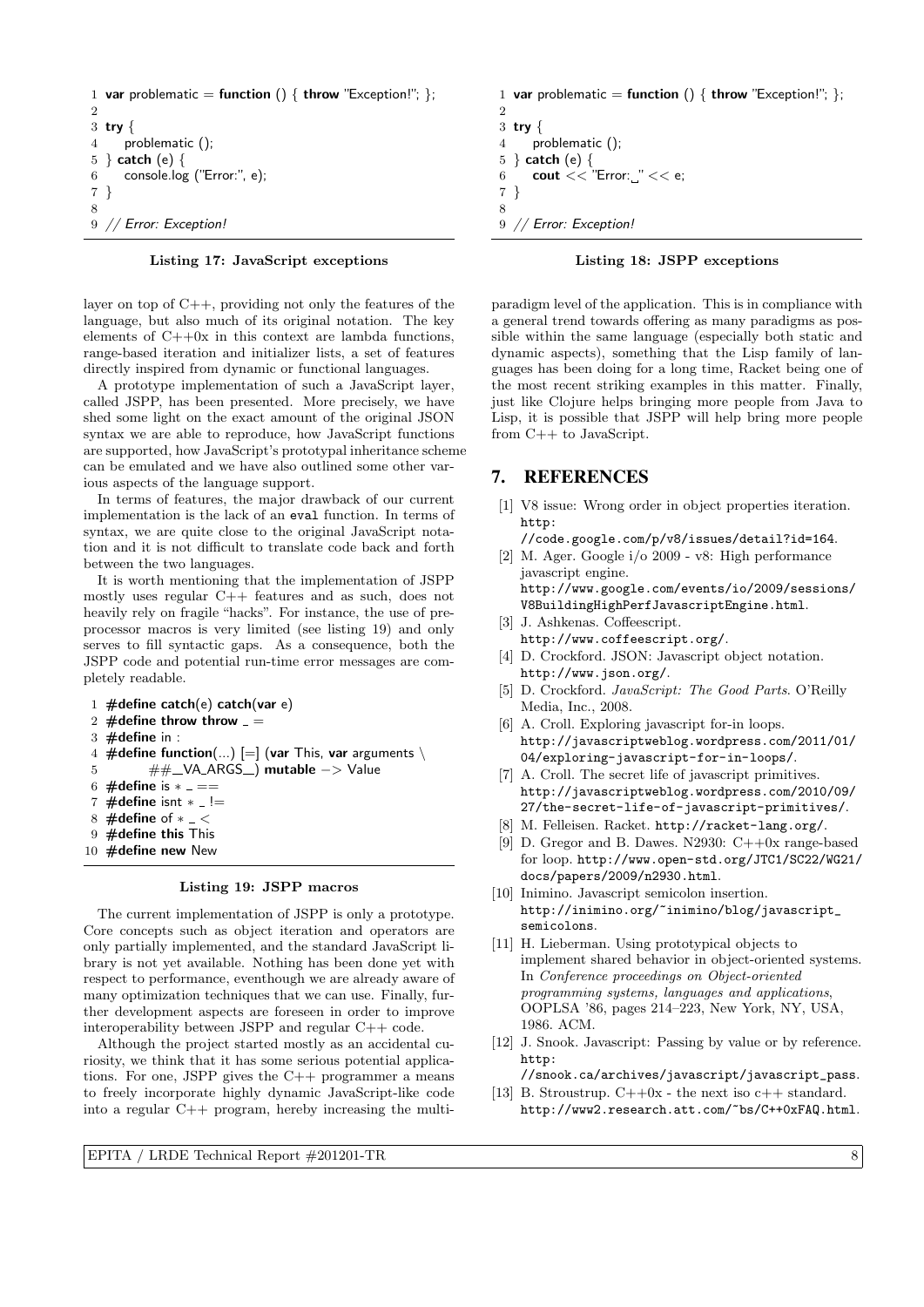```
1 var problematic = function () { throw "Exception!"; };
\overline{2}3 try {
4 problematic ();
5 } catch (e) {
6 console.log ("Error:", e);
7 }
8
9 // Error: Exception!
```
# Listing 17: JavaScript exceptions

layer on top of  $C_{++}$ , providing not only the features of the language, but also much of its original notation. The key elements of  $C++0x$  in this context are lambda functions, range-based iteration and initializer lists, a set of features directly inspired from dynamic or functional languages.

A prototype implementation of such a JavaScript layer, called JSPP, has been presented. More precisely, we have shed some light on the exact amount of the original JSON syntax we are able to reproduce, how JavaScript functions are supported, how JavaScript's prototypal inheritance scheme can be emulated and we have also outlined some other various aspects of the language support.

In terms of features, the major drawback of our current implementation is the lack of an eval function. In terms of syntax, we are quite close to the original JavaScript notation and it is not difficult to translate code back and forth between the two languages.

It is worth mentioning that the implementation of JSPP mostly uses regular C++ features and as such, does not heavily rely on fragile "hacks". For instance, the use of preprocessor macros is very limited (see listing 19) and only serves to fill syntactic gaps. As a consequence, both the JSPP code and potential run-time error messages are completely readable.

1  $\#$ define catch(e) catch(var e) 2  $\#$ define throw throw  $=$  $3 \#$ define in : 4 #define function(...)  $[=]$  (var This, var arguments \ 5 ##\_VA\_ARGS\_) mutable −> Value 6 #define is  $* = ==$ 7  $\#$ define isnt  $* = !=$ 8  $\#$ define of  $* - <$ 9 #define this This 10 **#define new New** 

#### Listing 19: JSPP macros

The current implementation of JSPP is only a prototype. Core concepts such as object iteration and operators are only partially implemented, and the standard JavaScript library is not yet available. Nothing has been done yet with respect to performance, eventhough we are already aware of many optimization techniques that we can use. Finally, further development aspects are foreseen in order to improve interoperability between JSPP and regular C++ code.

Although the project started mostly as an accidental curiosity, we think that it has some serious potential applications. For one, JSPP gives the C++ programmer a means to freely incorporate highly dynamic JavaScript-like code into a regular C++ program, hereby increasing the multi-

1 var problematic = function () { throw "Exception!"; };  $\overline{2}$ 

```
3 try {
4 problematic ();
5 } catch (e) {
6 cout << "Error:"<< e;
7 }
8
9 // Error: Exception!
```
### Listing 18: JSPP exceptions

paradigm level of the application. This is in compliance with a general trend towards offering as many paradigms as possible within the same language (especially both static and dynamic aspects), something that the Lisp family of languages has been doing for a long time, Racket being one of the most recent striking examples in this matter. Finally, just like Clojure helps bringing more people from Java to Lisp, it is possible that JSPP will help bring more people from C++ to JavaScript.

# 7. REFERENCES

[1] V8 issue: Wrong order in object properties iteration. http:

//code.google.com/p/v8/issues/detail?id=164.

- [2] M. Ager. Google i/o 2009 v8: High performance javascript engine. http://www.google.com/events/io/2009/sessions/ V8BuildingHighPerfJavascriptEngine.html.
- [3] J. Ashkenas. Coffeescript. http://www.coffeescript.org/.
- [4] D. Crockford. JSON: Javascript object notation. http://www.json.org/.
- [5] D. Crockford. JavaScript: The Good Parts. O'Reilly Media, Inc., 2008.
- [6] A. Croll. Exploring javascript for-in loops. http://javascriptweblog.wordpress.com/2011/01/ 04/exploring-javascript-for-in-loops/.
- [7] A. Croll. The secret life of javascript primitives. http://javascriptweblog.wordpress.com/2010/09/ 27/the-secret-life-of-javascript-primitives/.
- [8] M. Felleisen. Racket. http://racket-lang.org/.
- [9] D. Gregor and B. Dawes. N2930: C++0x range-based for loop. http://www.open-std.org/JTC1/SC22/WG21/ docs/papers/2009/n2930.html.
- [10] Inimino. Javascript semicolon insertion. http://inimino.org/~inimino/blog/javascript\_ semicolons.
- [11] H. Lieberman. Using prototypical objects to implement shared behavior in object-oriented systems. In Conference proceedings on Object-oriented programming systems, languages and applications, OOPLSA '86, pages 214–223, New York, NY, USA, 1986. ACM.
- [12] J. Snook. Javascript: Passing by value or by reference. http:

//snook.ca/archives/javascript/javascript\_pass. [13] B. Stroustrup.  $C++0x$  - the next iso  $c++$  standard. http://www2.research.att.com/~bs/C++0xFAQ.html.